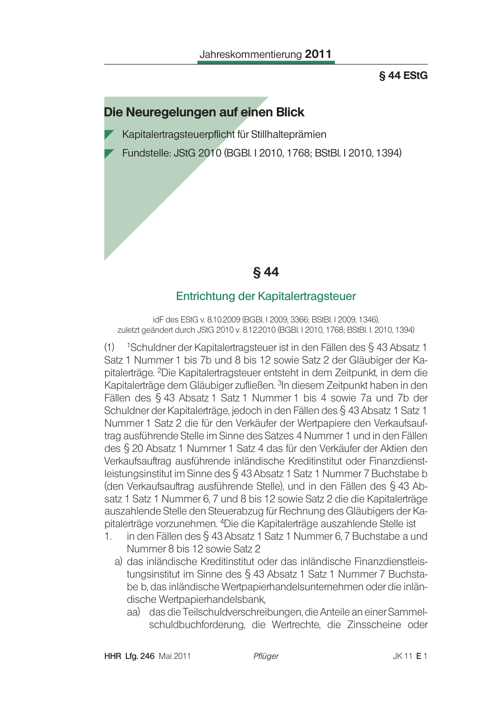#### **§ 44 EStG**

# Die Neuregelungen auf einen Blick

Kapitalertragsteuerpflicht für Stillhalteprämien

Fundstelle: JStG 2010 (BGBI. I 2010, 1768; BStBI. I 2010, 1394)

**§** 44

#### Entrichtung der Kapitalertragsteuer

idE des EStG v. 8.10.2009 (BGBL I 2009, 3366; BStBL I 2009, 1346). zuletzt geändert durch JStG 2010 v. 8.12.2010 (BGBI. I 2010, 1768; BStBI. I. 2010, 1394)

 $(1)$  <sup>1</sup>Schuldner der Kapitalertragsteuer ist in den Fällen des § 43 Absatz 1 Satz 1 Nummer 1 bis 7b und 8 bis 12 sowie Satz 2 der Gläubiger der Kapitalerträge. <sup>2</sup>Die Kapitalertragsteuer entsteht in dem Zeitpunkt, in dem die Kapitalerträge dem Gläubiger zufließen. <sup>3</sup>In diesem Zeitpunkt haben in den Fällen des § 43 Absatz 1 Satz 1 Nummer 1 bis 4 sowie 7a und 7b der Schuldner der Kapitalerträge, jedoch in den Fällen des § 43 Absatz 1 Satz 1 Nummer 1 Satz 2 die für den Verkäufer der Wertpapiere den Verkaufsauftrag ausführende Stelle im Sinne des Satzes 4 Nummer 1 und in den Fällen des § 20 Absatz 1 Nummer 1 Satz 4 das für den Verkäufer der Aktien den Verkaufsauftrag ausführende inländische Kreditinstitut oder Finanzdienstleistungsinstitut im Sinne des § 43 Absatz 1 Satz 1 Nummer 7 Buchstabe b (den Verkaufsauftrag ausführende Stelle), und in den Fällen des § 43 Absatz 1 Satz 1 Nummer 6, 7 und 8 bis 12 sowie Satz 2 die die Kapitalerträge auszahlende Stelle den Steuerabzug für Rechnung des Gläubigers der Kapitalerträge vorzunehmen. <sup>4</sup>Die die Kapitalerträge auszahlende Stelle ist

- in den Fällen des § 43 Absatz 1 Satz 1 Nummer 6, 7 Buchstabe a und  $1<sup>1</sup>$ Nummer 8 bis 12 sowie Satz 2
	- a) das inländische Kreditinstitut oder das inländische Finanzdienstleistungsinstitut im Sinne des § 43 Absatz 1 Satz 1 Nummer 7 Buchstabe b, das inländische Wertpapierhandelsunternehmen oder die inländische Wertpapierhandelsbank,
		- aa) das die Teilschuldverschreibungen, die Anteile an einer Sammelschuldbuchforderung, die Wertrechte, die Zinsscheine oder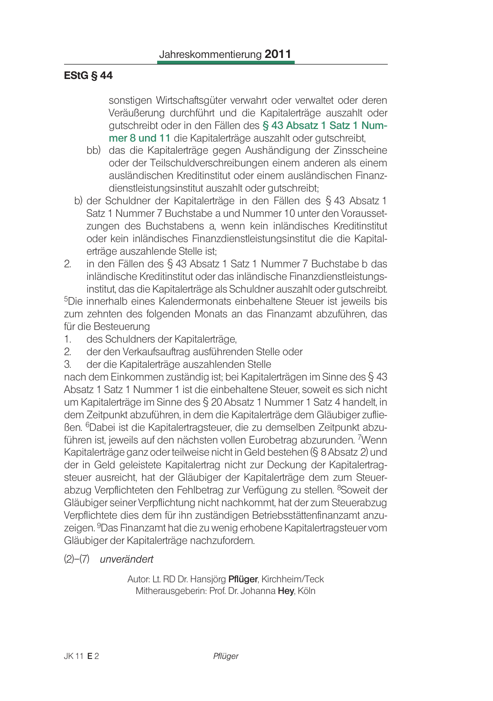### **EStG § 44**

sonstigen Wirtschaftsgüter verwahrt oder verwaltet oder deren Veräußerung durchführt und die Kapitalerträge auszahlt oder gutschreibt oder in den Fällen des § 43 Absatz 1 Satz 1 Nummer 8 und 11 die Kapitalerträge auszahlt oder gutschreibt.

- bb) das die Kapitalerträge gegen Aushändigung der Zinsscheine oder der Teilschuldverschreibungen einem anderen als einem ausländischen Kreditinstitut oder einem ausländischen Finanzdienstleistungsinstitut auszahlt oder gutschreibt:
- b) der Schuldner der Kapitalerträge in den Fällen des § 43 Absatz 1 Satz 1 Nummer 7 Buchstabe a und Nummer 10 unter den Voraussetzungen des Buchstabens a. wenn kein inländisches Kreditinstitut oder kein inländisches Finanzdienstleistungsinstitut die die Kapitalerträge auszahlende Stelle ist:
- in den Fällen des § 43 Absatz 1 Satz 1 Nummer 7 Buchstabe b das  $\overline{2}$ . inländische Kreditinstitut oder das inländische Finanzdienstleistungsinstitut, das die Kapitalerträge als Schuldner auszahlt oder gutschreibt.

<sup>5</sup>Die innerhalb eines Kalendermonats einbehaltene Steuer ist jeweils bis zum zehnten des folgenden Monats an das Finanzamt abzuführen, das für die Besteuerung

- $1.$ des Schuldners der Kapitalerträge,
- $2.$ der den Verkaufsauftrag ausführenden Stelle oder
- $\mathcal{S}_{\cdot}$ der die Kapitalerträge auszahlenden Stelle

nach dem Einkommen zuständig ist; bei Kapitalerträgen im Sinne des § 43 Absatz 1 Satz 1 Nummer 1 ist die einbehaltene Steuer, soweit es sich nicht um Kapitalerträge im Sinne des § 20 Absatz 1 Nummer 1 Satz 4 handelt, in dem Zeitpunkt abzuführen, in dem die Kapitalerträge dem Gläubiger zuflie-Ben. <sup>6</sup>Dabei ist die Kapitalertragsteuer, die zu demselben Zeitpunkt abzuführen ist, jeweils auf den nächsten vollen Eurobetrag abzurunden. 7Wenn Kapitalerträge ganz oder teilweise nicht in Geld bestehen (§ 8 Absatz 2) und der in Geld geleistete Kapitalertrag nicht zur Deckung der Kapitalertragsteuer ausreicht, hat der Gläubiger der Kapitalerträge dem zum Steuerabzug Verpflichteten den Fehlbetrag zur Verfügung zu stellen. <sup>8</sup>Soweit der Gläubiger seiner Verpflichtung nicht nachkommt, hat der zum Steuerabzug Verpflichtete dies dem für ihn zuständigen Betriebsstättenfinanzamt anzuzeigen. <sup>9</sup>Das Finanzamt hat die zu wenig erhobene Kapitalertragsteuer vom Gläubiger der Kapitalerträge nachzufordern.

 $(2)$ - $(7)$  unverändert

Autor: Lt. RD Dr. Hansjörg Pflüger, Kirchheim/Teck Mitherausgeberin: Prof. Dr. Johanna Hey, Köln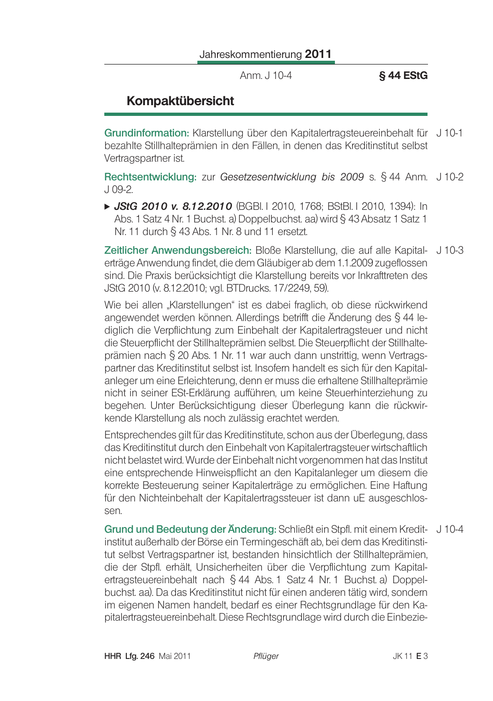Jahreskommentierung 2011

Anm. J 10-4

**§ 44 EStG** 

# **Kompaktübersicht**

Grundinformation: Klarstellung über den Kapitalertragsteuereinbehalt für J10-1 bezahlte Stillhalteprämien in den Fällen, in denen das Kreditinstitut selbst Vertragspartner ist.

Rechtsentwicklung: zur Gesetzesentwicklung bis 2009 s. § 44 Anm. J 10-2  $J$  09-2.

► JStG 2010 v. 8.12.2010 (BGBI 12010, 1768; BStBI 12010, 1394): In Abs. 1 Satz 4 Nr. 1 Buchst, a) Doppelbuchst, aa) wird § 43 Absatz 1 Satz 1 Nr. 11 durch § 43 Abs. 1 Nr. 8 und 11 ersetzt.

Zeitlicher Anwendungsbereich: Bloße Klarstellung, die auf alle Kapital- J 10-3 erträge Anwendung findet, die dem Gläubiger ab dem 1.1.2009 zugeflossen sind. Die Praxis berücksichtigt die Klarstellung bereits vor Inkrafttreten des JStG 2010 (v. 8.12.2010; vgl. BTDrucks. 17/2249, 59).

Wie bei allen "Klarstellungen" ist es dabei fraglich, ob diese rückwirkend angewendet werden können. Allerdings betrifft die Änderung des § 44 lediglich die Verpflichtung zum Einbehalt der Kapitalertragsteuer und nicht die Steuerpflicht der Stillhalteprämien selbst. Die Steuerpflicht der Stillhalteprämien nach § 20 Abs. 1 Nr. 11 war auch dann unstrittig, wenn Vertragspartner das Kreditinstitut selbst ist. Insofern handelt es sich für den Kapitalanleger um eine Erleichterung, denn er muss die erhaltene Stillhalteprämie nicht in seiner ESt-Erklärung aufführen, um keine Steuerhinterziehung zu begehen. Unter Berücksichtigung dieser Überlegung kann die rückwirkende Klarstellung als noch zulässig erachtet werden.

Entsprechendes gilt für das Kreditinstitute, schon aus der Überlegung, dass das Kreditinstitut durch den Einbehalt von Kapitalertragsteuer wirtschaftlich nicht belastet wird. Wurde der Einbehalt nicht vorgenommen hat das Institut eine entsprechende Hinweispflicht an den Kapitalanleger um diesem die korrekte Besteuerung seiner Kapitalerträge zu ermöglichen. Eine Haftung für den Nichteinbehalt der Kapitalertragssteuer ist dann uE ausgeschlossen.

Grund und Bedeutung der Änderung: Schließt ein Stpfl. mit einem Kredit- J 10-4 institut außerhalb der Börse ein Termingeschäft ab, bei dem das Kreditinstitut selbst Vertragspartner ist, bestanden hinsichtlich der Stillhalteprämien. die der Stpfl. erhält, Unsicherheiten über die Verpflichtung zum Kapitalertragsteuereinbehalt nach § 44 Abs. 1 Satz 4 Nr. 1 Buchst. a) Doppelbuchst. aa). Da das Kreditinstitut nicht für einen anderen tätig wird, sondern im eigenen Namen handelt, bedarf es einer Rechtsgrundlage für den Kapitalertragsteuereinbehalt. Diese Rechtsgrundlage wird durch die Einbezie-